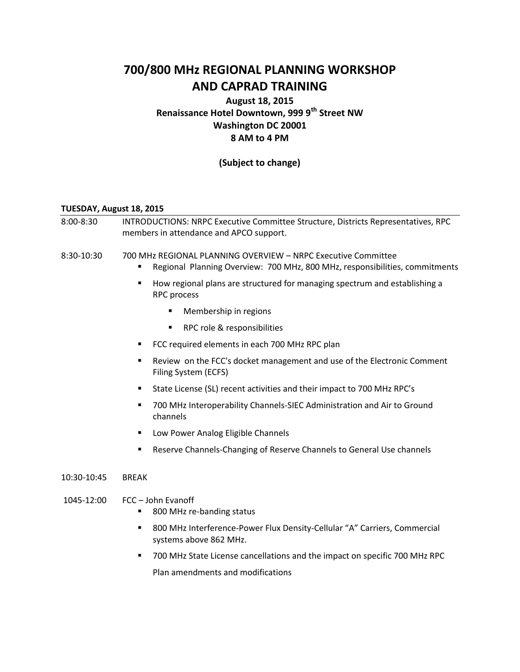# **700/800 MHz REGIONAL PLANNING WORKSHOP AND CAPRAD TRAINING**

## **August 18, 2015 Renaissance Hotel Downtown, 999 9th Street NW Washington DC 20001 8 AM to 4 PM**

## **(Subject to change)**

#### **TUESDAY, August 18, 2015**

- 8:00-8:30 INTRODUCTIONS: NRPC Executive Committee Structure, Districts Representatives, RPC members in attendance and APCO support.
- 8:30-10:30 700 MHz REGIONAL PLANNING OVERVIEW NRPC Executive Committee
	- Regional Planning Overview: 700 MHz, 800 MHz, responsibilities, commitments
	- **How regional plans are structured for managing spectrum and establishing a** RPC process
		- **Nembership in regions**
		- **RPC role & responsibilities**
	- FCC required elements in each 700 MHz RPC plan
	- Review on the FCC's docket management and use of the Electronic Comment Filing System (ECFS)
	- State License (SL) recent activities and their impact to 700 MHz RPC's
	- 700 MHz Interoperability Channels-SIEC Administration and Air to Ground channels
	- Low Power Analog Eligible Channels
	- **Reserve Channels-Changing of Reserve Channels to General Use channels**
- 10:30-10:45 BREAK
- 1045-12:00 FCC John Evanoff
	- 800 MHz re-banding status
	- 800 MHz Interference-Power Flux Density-Cellular "A" Carriers, Commercial systems above 862 MHz.
	- 700 MHz State License cancellations and the impact on specific 700 MHz RPC

Plan amendments and modifications